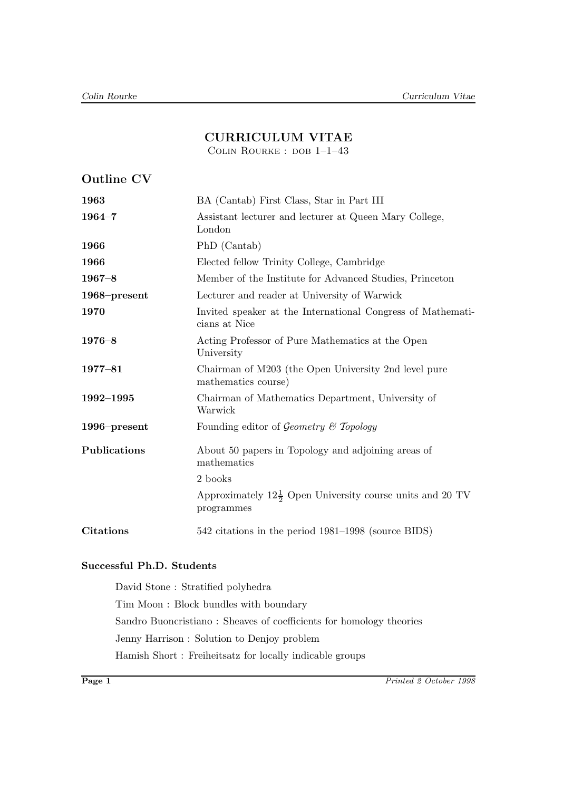# **CURRICULUM VITAE**

COLIN ROURKE : DOB 1-1-43

| <b>Outline CV</b> |                                                                                    |
|-------------------|------------------------------------------------------------------------------------|
| 1963              | BA (Cantab) First Class, Star in Part III                                          |
| $1964 - 7$        | Assistant lecturer and lecturer at Queen Mary College,<br>London                   |
| 1966              | PhD (Cantab)                                                                       |
| 1966              | Elected fellow Trinity College, Cambridge                                          |
| $1967 - 8$        | Member of the Institute for Advanced Studies, Princeton                            |
| 1968-present      | Lecturer and reader at University of Warwick                                       |
| 1970              | Invited speaker at the International Congress of Mathemati-<br>cians at Nice       |
| $1976 - 8$        | Acting Professor of Pure Mathematics at the Open<br>University                     |
| $1977 - 81$       | Chairman of M203 (the Open University 2nd level pure<br>mathematics course)        |
| 1992-1995         | Chairman of Mathematics Department, University of<br>Warwick                       |
| $1996$ -present   | Founding editor of Geometry $\mathcal C$ Topology                                  |
| Publications      | About 50 papers in Topology and adjoining areas of<br>mathematics                  |
|                   | 2 books                                                                            |
|                   | Approximately $12\frac{1}{2}$ Open University course units and 20 TV<br>programmes |
| <b>Citations</b>  | 542 citations in the period 1981–1998 (source BIDS)                                |

## **Successful Ph.D. Students**

David Stone : Stratified polyhedra Tim Moon : Block bundles with boundary Sandro Buoncristiano : Sheaves of coefficients for homology theories Jenny Harrison : Solution to Denjoy problem Hamish Short : Freiheitsatz for locally indicable groups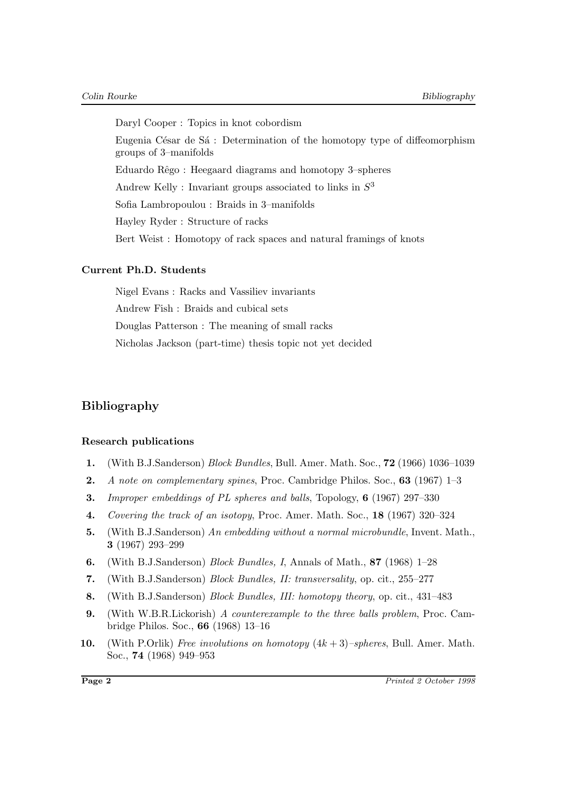Daryl Cooper : Topics in knot cobordism Eugenia César de Sá : Determination of the homotopy type of diffeomorphism groups of 3–manifolds Eduardo Rêgo : Heegaard diagrams and homotopy 3-spheres Andrew Kelly : Invariant groups associated to links in  $S<sup>3</sup>$ Sofia Lambropoulou : Braids in 3–manifolds Hayley Ryder : Structure of racks Bert Weist : Homotopy of rack spaces and natural framings of knots

## **Current Ph.D. Students**

Nigel Evans : Racks and Vassiliev invariants Andrew Fish : Braids and cubical sets Douglas Patterson : The meaning of small racks Nicholas Jackson (part-time) thesis topic not yet decided

# **Bibliography**

### **Research publications**

- **1.** (With B.J.Sanderson) Block Bundles, Bull. Amer. Math. Soc., **72** (1966) 1036–1039
- **2.** A note on complementary spines, Proc. Cambridge Philos. Soc., **63** (1967) 1–3
- **3.** Improper embeddings of PL spheres and balls, Topology, **6** (1967) 297–330
- **4.** Covering the track of an isotopy, Proc. Amer. Math. Soc., **18** (1967) 320–324
- **5.** (With B.J.Sanderson) An embedding without a normal microbundle, Invent. Math., **3** (1967) 293–299
- **6.** (With B.J.Sanderson) Block Bundles, I, Annals of Math., **87** (1968) 1–28
- **7.** (With B.J.Sanderson) Block Bundles, II: transversality, op. cit., 255–277
- **8.** (With B.J.Sanderson) Block Bundles, III: homotopy theory, op. cit., 431–483
- **9.** (With W.B.R.Lickorish) A counterexample to the three balls problem, Proc. Cambridge Philos. Soc., **66** (1968) 13–16
- **10.** (With P.Orlik) Free involutions on homotopy  $(4k+3)$ –spheres, Bull. Amer. Math. Soc., **74** (1968) 949–953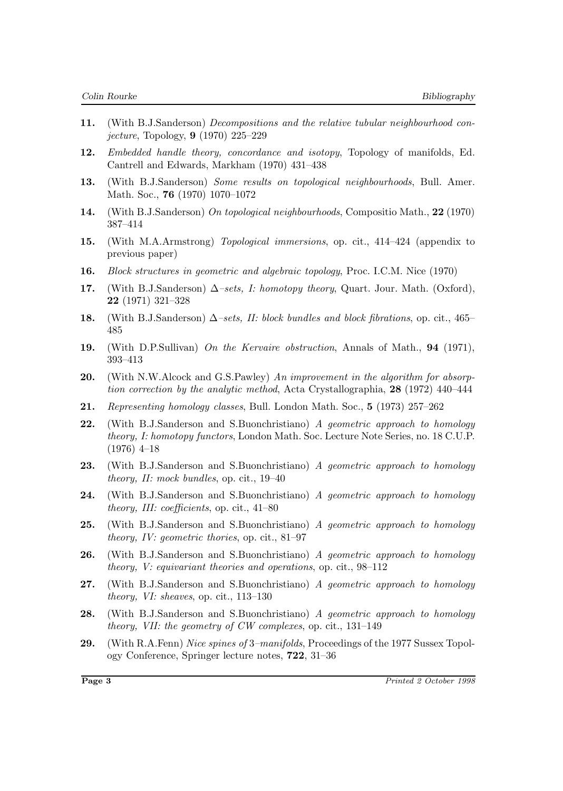- **11.** (With B.J.Sanderson) Decompositions and the relative tubular neighbourhood conjecture, Topology, **9** (1970) 225–229
- **12.** Embedded handle theory, concordance and isotopy, Topology of manifolds, Ed. Cantrell and Edwards, Markham (1970) 431–438
- **13.** (With B.J.Sanderson) Some results on topological neighbourhoods, Bull. Amer. Math. Soc., **76** (1970) 1070–1072
- **14.** (With B.J.Sanderson) On topological neighbourhoods, Compositio Math., **22** (1970) 387–414
- **15.** (With M.A.Armstrong) Topological immersions, op. cit., 414–424 (appendix to previous paper)
- **16.** Block structures in geometric and algebraic topology, Proc. I.C.M. Nice (1970)
- **17.** (With B.J.Sanderson)  $\Delta$ -sets, I: homotopy theory, Quart. Jour. Math. (Oxford), **22** (1971) 321–328
- **18.** (With B.J.Sanderson)  $\Delta$ –sets, II: block bundles and block fibrations, op. cit., 465– 485
- **19.** (With D.P.Sullivan) On the Kervaire obstruction, Annals of Math., **94** (1971), 393–413
- **20.** (With N.W.Alcock and G.S.Pawley) An improvement in the algorithm for absorption correction by the analytic method, Acta Crystallographia, **28** (1972) 440–444
- **21.** Representing homology classes, Bull. London Math. Soc., **5** (1973) 257–262
- **22.** (With B.J.Sanderson and S.Buonchristiano) A geometric approach to homology theory, I: homotopy functors, London Math. Soc. Lecture Note Series, no. 18 C.U.P. (1976) 4–18
- **23.** (With B.J.Sanderson and S.Buonchristiano) A geometric approach to homology theory, II: mock bundles, op. cit., 19–40
- **24.** (With B.J.Sanderson and S.Buonchristiano) A geometric approach to homology theory, III: coefficients, op. cit., 41–80
- **25.** (With B.J.Sanderson and S.Buonchristiano) A geometric approach to homology theory, IV: geometric thories, op. cit., 81–97
- **26.** (With B.J.Sanderson and S.Buonchristiano) A geometric approach to homology theory, V: equivariant theories and operations, op. cit., 98–112
- **27.** (With B.J.Sanderson and S.Buonchristiano) A geometric approach to homology theory, VI: sheaves, op. cit., 113–130
- **28.** (With B.J.Sanderson and S.Buonchristiano) A geometric approach to homology theory, VII: the geometry of CW complexes, op. cit., 131–149
- **29.** (With R.A.Fenn) Nice spines of 3–manifolds, Proceedings of the 1977 Sussex Topology Conference, Springer lecture notes, **722**, 31–36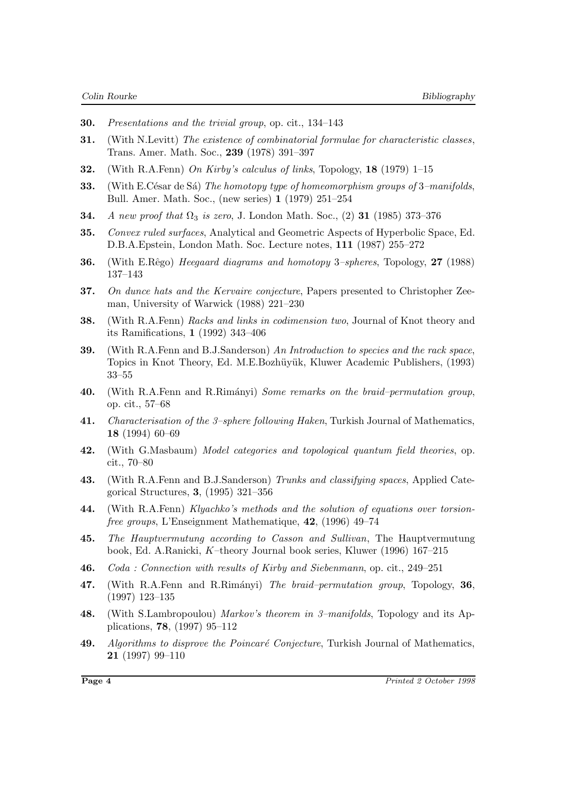- **30.** Presentations and the trivial group, op. cit., 134–143
- **31.** (With N.Levitt) The existence of combinatorial formulae for characteristic classes, Trans. Amer. Math. Soc., **239** (1978) 391–397
- **32.** (With R.A.Fenn) On Kirby's calculus of links, Topology, **18** (1979) 1–15
- **33.** (With E.César de Sá) The homotopy type of homeomorphism groups of 3–manifolds, Bull. Amer. Math. Soc., (new series) **1** (1979) 251–254
- **34.** A new proof that  $\Omega_3$  is zero, J. London Math. Soc., (2) **31** (1985) 373–376
- **35.** Convex ruled surfaces, Analytical and Geometric Aspects of Hyperbolic Space, Ed. D.B.A.Epstein, London Math. Soc. Lecture notes, **111** (1987) 255–272
- **36.** (With E.Rêgo) *Heegaard diagrams and homotopy 3–spheres*, Topology, 27 (1988) 137–143
- **37.** On dunce hats and the Kervaire conjecture, Papers presented to Christopher Zeeman, University of Warwick (1988) 221–230
- **38.** (With R.A.Fenn) Racks and links in codimension two, Journal of Knot theory and its Ramifications, **1** (1992) 343–406
- **39.** (With R.A.Fenn and B.J.Sanderson) An Introduction to species and the rack space, Topics in Knot Theory, Ed. M.E.Bozhüyük, Kluwer Academic Publishers, (1993) 33–55
- **40.** (With R.A.Fenn and R.Rim´anyi) Some remarks on the braid–permutation group, op. cit., 57–68
- **41.** Characterisation of the 3–sphere following Haken, Turkish Journal of Mathematics, **18** (1994) 60–69
- **42.** (With G.Masbaum) Model categories and topological quantum field theories, op. cit., 70–80
- **43.** (With R.A.Fenn and B.J.Sanderson) Trunks and classifying spaces, Applied Categorical Structures, **3**, (1995) 321–356
- **44.** (With R.A.Fenn) Klyachko's methods and the solution of equations over torsionfree groups, L'Enseignment Mathematique, **42**, (1996) 49–74
- **45.** The Hauptvermutung according to Casson and Sullivan, The Hauptvermutung book, Ed. A.Ranicki, K–theory Journal book series, Kluwer (1996) 167–215
- **46.** Coda : Connection with results of Kirby and Siebenmann, op. cit., 249–251
- **47.** (With R.A.Fenn and R.Rim´anyi) The braid–permutation group, Topology, **36**, (1997) 123–135
- **48.** (With S.Lambropoulou) Markov's theorem in 3–manifolds, Topology and its Applications, **78**, (1997) 95–112
- 49. Algorithms to disprove the Poincaré Conjecture, Turkish Journal of Mathematics, **21** (1997) 99–110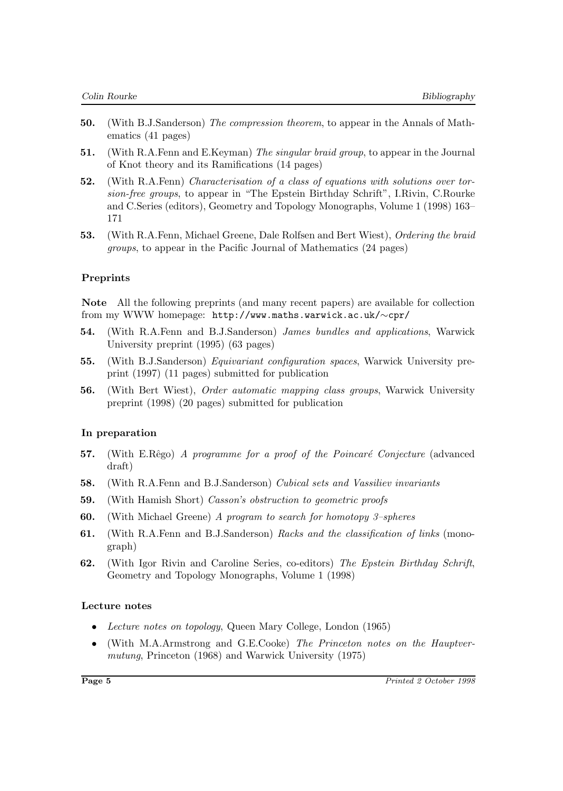- **50.** (With B.J.Sanderson) The compression theorem, to appear in the Annals of Mathematics (41 pages)
- **51.** (With R.A.Fenn and E.Keyman) The singular braid group, to appear in the Journal of Knot theory and its Ramifications (14 pages)
- **52.** (With R.A.Fenn) Characterisation of a class of equations with solutions over torsion-free groups, to appear in "The Epstein Birthday Schrift", I.Rivin, C.Rourke and C.Series (editors), Geometry and Topology Monographs, Volume 1 (1998) 163– 171
- **53.** (With R.A.Fenn, Michael Greene, Dale Rolfsen and Bert Wiest), Ordering the braid groups, to appear in the Pacific Journal of Mathematics (24 pages)

### **Preprints**

**Note** All the following preprints (and many recent papers) are available for collection from my WWW homepage: http://www.maths.warwick.ac.uk/∼cpr/

- **54.** (With R.A.Fenn and B.J.Sanderson) James bundles and applications, Warwick University preprint (1995) (63 pages)
- **55.** (With B.J.Sanderson) Equivariant configuration spaces, Warwick University preprint (1997) (11 pages) submitted for publication
- **56.** (With Bert Wiest), Order automatic mapping class groups, Warwick University preprint (1998) (20 pages) submitted for publication

### **In preparation**

- **57.** (With E.Rêgo) A programme for a proof of the Poincaré Conjecture (advanced draft)
- **58.** (With R.A.Fenn and B.J.Sanderson) Cubical sets and Vassiliev invariants
- **59.** (With Hamish Short) Casson's obstruction to geometric proofs
- **60.** (With Michael Greene) A program to search for homotopy 3–spheres
- **61.** (With R.A.Fenn and B.J.Sanderson) Racks and the classification of links (monograph)
- **62.** (With Igor Rivin and Caroline Series, co-editors) The Epstein Birthday Schrift, Geometry and Topology Monographs, Volume 1 (1998)

### **Lecture notes**

- Lecture notes on topology, Queen Mary College, London (1965)
- (With M.A.Armstrong and G.E.Cooke) The Princeton notes on the Hauptvermutung, Princeton (1968) and Warwick University (1975)